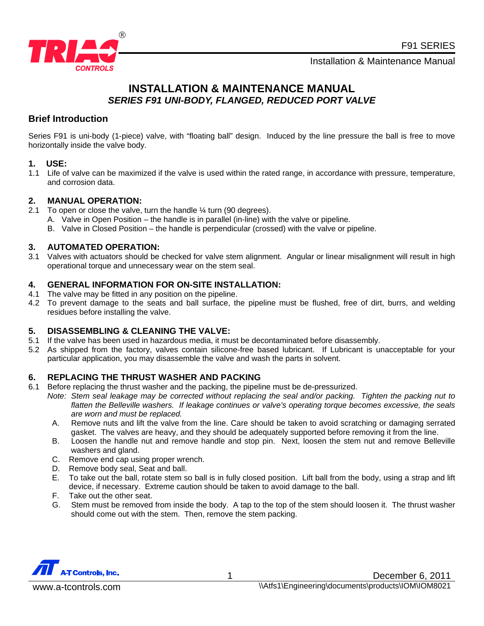F91 SERIES



Installation & Maintenance Manual

# **INSTALLATION & MAINTENANCE MANUAL**  *SERIES F91 UNI-BODY, FLANGED, REDUCED PORT VALVE*

# **Brief Introduction**

Series F91 is uni-body (1-piece) valve, with "floating ball" design. Induced by the line pressure the ball is free to move horizontally inside the valve body.

#### **1. USE:**

1.1 Life of valve can be maximized if the valve is used within the rated range, in accordance with pressure, temperature, and corrosion data.

# **2. MANUAL OPERATION:**

- 2.1 To open or close the valve, turn the handle  $\frac{1}{4}$  turn (90 degrees).
	- A. Valve in Open Position the handle is in parallel (in-line) with the valve or pipeline.
	- B. Valve in Closed Position the handle is perpendicular (crossed) with the valve or pipeline.

#### **3. AUTOMATED OPERATION:**

3.1 Valves with actuators should be checked for valve stem alignment. Angular or linear misalignment will result in high operational torque and unnecessary wear on the stem seal.

#### **4. GENERAL INFORMATION FOR ON-SITE INSTALLATION:**

- 4.1 The valve may be fitted in any position on the pipeline.
- 4.2 To prevent damage to the seats and ball surface, the pipeline must be flushed, free of dirt, burrs, and welding residues before installing the valve.

# **5. DISASSEMBLING & CLEANING THE VALVE:**

- 5.1 If the valve has been used in hazardous media, it must be decontaminated before disassembly.
- 5.2 As shipped from the factory, valves contain silicone-free based lubricant. If Lubricant is unacceptable for your particular application, you may disassemble the valve and wash the parts in solvent.

# **6. REPLACING THE THRUST WASHER AND PACKING**

- 6.1 Before replacing the thrust washer and the packing, the pipeline must be de-pressurized.
	- *Note: Stem seal leakage may be corrected without replacing the seal and/or packing. Tighten the packing nut to flatten the Belleville washers. If leakage continues or valve's operating torque becomes excessive, the seals are worn and must be replaced.*
	- A. Remove nuts and lift the valve from the line. Care should be taken to avoid scratching or damaging serrated gasket. The valves are heavy, and they should be adequately supported before removing it from the line.
	- B. Loosen the handle nut and remove handle and stop pin. Next, loosen the stem nut and remove Belleville washers and gland.
	- C. Remove end cap using proper wrench.
	- D. Remove body seal, Seat and ball.
	- E. To take out the ball, rotate stem so ball is in fully closed position. Lift ball from the body, using a strap and lift device, if necessary. Extreme caution should be taken to avoid damage to the ball.
	- F. Take out the other seat.
	- G. Stem must be removed from inside the body. A tap to the top of the stem should loosen it. The thrust washer should come out with the stem. Then, remove the stem packing.

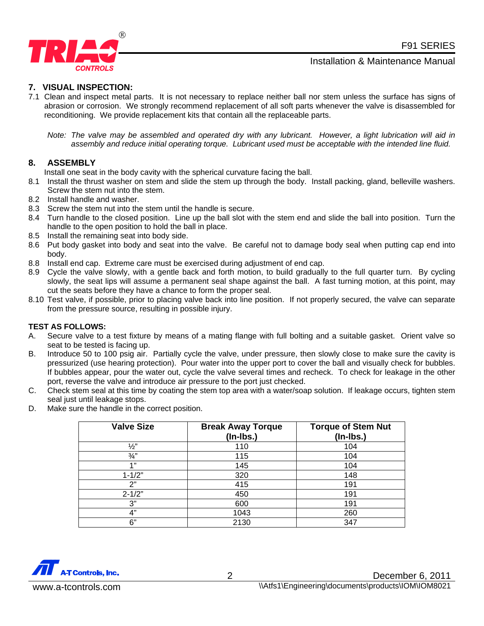F91 SERIES





# **7. VISUAL INSPECTION:**

7.1 Clean and inspect metal parts. It is not necessary to replace neither ball nor stem unless the surface has signs of abrasion or corrosion. We strongly recommend replacement of all soft parts whenever the valve is disassembled for reconditioning. We provide replacement kits that contain all the replaceable parts.

*Note: The valve may be assembled and operated dry with any lubricant. However, a light lubrication will aid in assembly and reduce initial operating torque. Lubricant used must be acceptable with the intended line fluid.* 

# **8. ASSEMBLY**

Install one seat in the body cavity with the spherical curvature facing the ball.

- 8.1 Install the thrust washer on stem and slide the stem up through the body. Install packing, gland, belleville washers. Screw the stem nut into the stem.
- 8.2 Install handle and washer.
- 8.3 Screw the stem nut into the stem until the handle is secure.
- 8.4 Turn handle to the closed position. Line up the ball slot with the stem end and slide the ball into position. Turn the handle to the open position to hold the ball in place.
- 8.5 Install the remaining seat into body side.
- 8.6 Put body gasket into body and seat into the valve. Be careful not to damage body seal when putting cap end into body.
- 8.8 Install end cap. Extreme care must be exercised during adjustment of end cap.
- 8.9 Cycle the valve slowly, with a gentle back and forth motion, to build gradually to the full quarter turn. By cycling slowly, the seat lips will assume a permanent seal shape against the ball. A fast turning motion, at this point, may cut the seats before they have a chance to form the proper seal.
- 8.10 Test valve, if possible, prior to placing valve back into line position. If not properly secured, the valve can separate from the pressure source, resulting in possible injury.

#### **TEST AS FOLLOWS:**

- A. Secure valve to a test fixture by means of a mating flange with full bolting and a suitable gasket. Orient valve so seat to be tested is facing up.
- B. Introduce 50 to 100 psig air. Partially cycle the valve, under pressure, then slowly close to make sure the cavity is pressurized (use hearing protection). Pour water into the upper port to cover the ball and visually check for bubbles. If bubbles appear, pour the water out, cycle the valve several times and recheck. To check for leakage in the other port, reverse the valve and introduce air pressure to the port just checked.
- C. Check stem seal at this time by coating the stem top area with a water/soap solution. If leakage occurs, tighten stem seal just until leakage stops.
- D. Make sure the handle in the correct position.

| <b>Valve Size</b> | <b>Break Away Torque</b><br>$($ ln-lbs. $)$ | <b>Torque of Stem Nut</b><br>(In-Ibs.) |
|-------------------|---------------------------------------------|----------------------------------------|
| $\frac{1}{2}$     | 110                                         | 104                                    |
| $\frac{3}{4}$ "   | 115                                         | 104                                    |
| 4,99              | 145                                         | 104                                    |
| $1 - 1/2"$        | 320                                         | 148                                    |
| 2"                | 415                                         | 191                                    |
| $2 - 1/2"$        | 450                                         | 191                                    |
| 3"                | 600                                         | 191                                    |
| 4"                | 1043                                        | 260                                    |
| 6"                | 2130                                        | 347                                    |